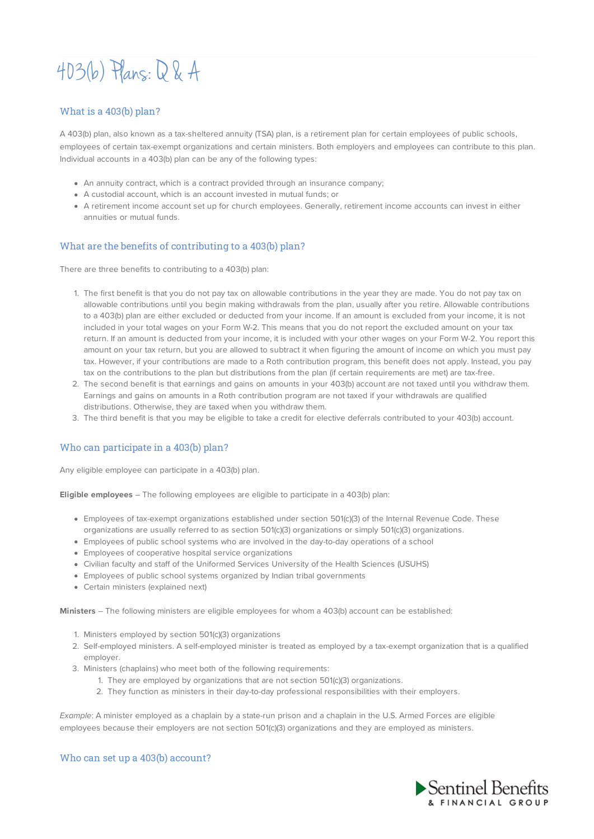# 403(b) Plans:Q & A

## What is a 403(b) plan?

A 403(b) plan, also known as a tax-sheltered annuity (TSA) plan, is a retirement plan for certain employees of public schools, employees of certain tax-exempt organizations and certain ministers. Both employers and employees can contribute to this plan. Individual accounts in a 403(b) plan can be any of the following types:

- An annuity contract, which is a contract provided through an insurance company;
- A custodial account, which is an account invested in mutual funds; or
- A retirement income account set up for church employees. Generally, retirement income accounts can invest in either annuities or mutual funds.

## What are the benefits of contributing to a 403(b) plan?

There are three benefits to contributing to a 403(b) plan:

- 1. The first benefit is that you do not pay tax on allowable contributions in the year they are made. You do not pay tax on allowable contributions until you begin making withdrawals from the plan, usually after you retire. Allowable contributions to a 403(b) plan are either excluded or deducted from your income. If an amount is excluded from your income, it is not included in your total wages on your Form W-2. This means that you do not report the excluded amount on your tax return. If an amount is deducted from your income, it is included with your other wages on your Form W-2. You report this amount on your tax return, but you are allowed to subtract it when figuring the amount of income on which you must pay tax. However, if your contributions are made to a Roth contribution program, this benefit does not apply. Instead, you pay tax on the contributions to the plan but distributions from the plan (if certain requirements are met) are tax-free.
- 2. The second benefit is that earnings and gains on amounts in your 403(b) account are not taxed until you withdraw them. Earnings and gains on amounts in a Roth contribution program are not taxed if your withdrawals are qualified distributions. Otherwise, they are taxed when you withdraw them.
- 3. The third benefit is that you may be eligible to take a credit for elective deferrals contributed to your 403(b) account.

## Who can participate in a 403(b) plan?

Any eligible employee can participate in a 403(b) plan.

**Eligible employees** – The following employees are eligible to participate in a 403(b) plan:

- Employees of tax-exempt organizations established under section 501(c)(3) of the Internal Revenue Code. These organizations are usually referred to as section 501(c)(3) organizations or simply 501(c)(3) organizations.
- Employees of public school systems who are involved in the day-to-day operations of a school
- Employees of cooperative hospital service organizations
- Civilian faculty and staff of the Uniformed Services University of the Health Sciences (USUHS)
- Employees of public school systems organized by Indian tribal governments
- Certain ministers (explained next)

**Ministers** – The following ministers are eligible employees for whom a 403(b) account can be established:

- 1. Ministers employed by section 501(c)(3) organizations
- 2. Self-employed ministers. A self-employed minister is treated as employed by a tax-exempt organization that is a qualified employer.
- 3. Ministers (chaplains) who meet both of the following requirements:
	- 1. They are employed by organizations that are not section 501(c)(3) organizations.
	- 2. They function as ministers in their day-to-day professional responsibilities with their employers.

Example: A minister employed as a chaplain by a state-run prison and a chaplain in the U.S. Armed Forces are eligible employees because their employers are not section 501(c)(3) organizations and they are employed as ministers.

#### Who can set up a 403(b) account?

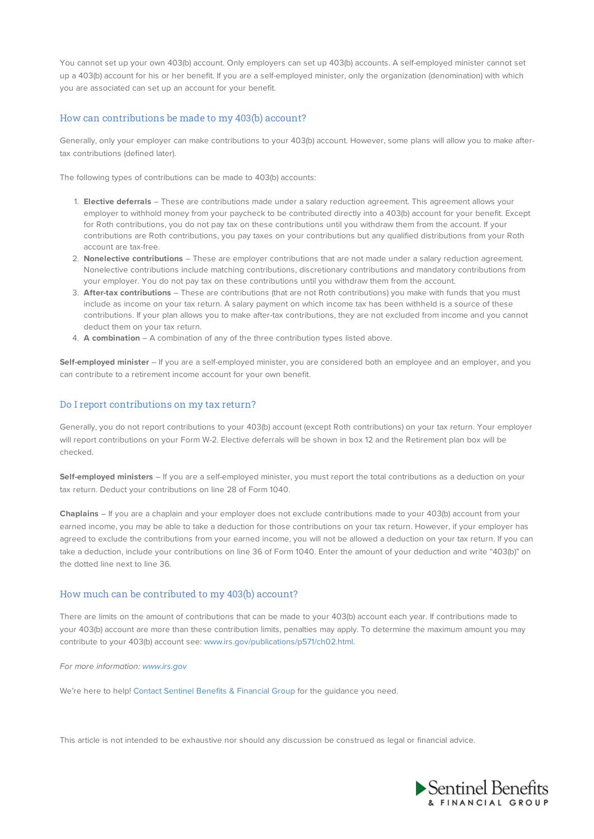You cannot set up your own 403(b) account. Only employers can set up 403(b) accounts. A self-employed minister cannot set up a 403(b) account for his or her benefit. If you are a self-employed minister, only the organization (denomination) with which you are associated can set up an account for your benefit.

#### How can contributions be made to my 403(b) account?

Generally, only your employer can make contributions to your 403(b) account. However, some plans will allow you to make aftertax contributions (defined later).

The following types of contributions can be made to 403(b) accounts:

- 1. **Elective deferrals** These are contributions made under a salary reduction agreement. This agreement allows your employer to withhold money from your paycheck to be contributed directly into a 403(b) account for your benefit. Except for Roth contributions, you do not pay tax on these contributions until you withdraw them from the account. If your contributions are Roth contributions, you pay taxes on your contributions but any qualified distributions from your Roth account are tax-free.
- 2. **Nonelective contributions** These are employer contributions that are not made under a salary reduction agreement. Nonelective contributions include matching contributions, discretionary contributions and mandatory contributions from your employer. You do not pay tax on these contributions until you withdraw them from the account.
- 3. **After-tax contributions** These are contributions (that are not Roth contributions) you make with funds that you must include as income on your tax return. A salary payment on which income tax has been withheld is a source of these contributions. If your plan allows you to make after-tax contributions, they are not excluded from income and you cannot deduct them on your tax return.
- 4. **A combination** A combination of any of the three contribution types listed above.

**Self-employed minister** – If you are a self-employed minister, you are considered both an employee and an employer, and you can contribute to a retirement income account for your own benefit.

### Do I report contributions on my tax return?

Generally, you do not report contributions to your 403(b) account (except Roth contributions) on your tax return. Your employer will report contributions on your Form W-2. Elective deferrals will be shown in box 12 and the Retirement plan box will be checked.

**Self-employed ministers** – If you are a self-employed minister, you must report the total contributions as a deduction on your tax return. Deduct your contributions on line 28 of Form 1040.

**Chaplains** – If you are a chaplain and your employer does not exclude contributions made to your 403(b) account from your earned income, you may be able to take a deduction for those contributions on your tax return. However, if your employer has agreed to exclude the contributions from your earned income, you will not be allowed a deduction on your tax return. If you can take a deduction, include your contributions on line 36 of Form 1040. Enter the amount of your deduction and write "403(b)" on the dotted line next to line 36.

### How much can be contributed to my 403(b) account?

There are limits on the amount of contributions that can be made to your 403(b) account each year. If contributions made to your 403(b) account are more than these contribution limits, penalties may apply. To determine the maximum amount you may contribute to your 403(b) account see: www.irs.gov/publications/p571/ch02.html.

#### For more information: www.irs.gov

We're here to help! Contact Sentinel Benefits & Financial Group for the guidance you need.

This article is not intended to be exhaustive nor should any discussion be construed as legal or financial advice.